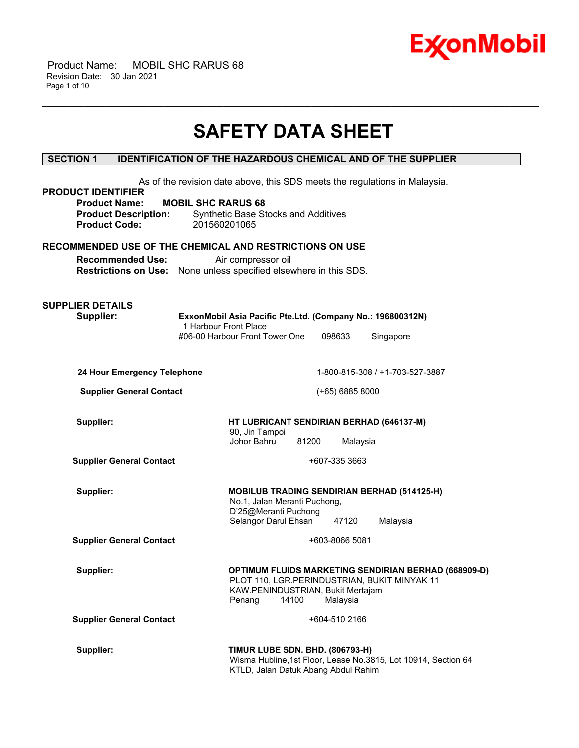

 Product Name: MOBIL SHC RARUS 68 Revision Date: 30 Jan 2021 Page 1 of 10

# **SAFETY DATA SHEET**

\_\_\_\_\_\_\_\_\_\_\_\_\_\_\_\_\_\_\_\_\_\_\_\_\_\_\_\_\_\_\_\_\_\_\_\_\_\_\_\_\_\_\_\_\_\_\_\_\_\_\_\_\_\_\_\_\_\_\_\_\_\_\_\_\_\_\_\_\_\_\_\_\_\_\_\_\_\_\_\_\_\_\_\_\_\_\_\_\_\_\_\_\_\_\_\_\_\_\_\_\_\_\_\_\_\_\_\_\_\_\_\_\_\_\_\_\_\_

# **SECTION 1 IDENTIFICATION OF THE HAZARDOUS CHEMICAL AND OF THE SUPPLIER**

| <b>PRODUCT IDENTIFIER</b>                               | As of the revision date above, this SDS meets the regulations in Malaysia.                     |                                                            |                   |                                                                |  |
|---------------------------------------------------------|------------------------------------------------------------------------------------------------|------------------------------------------------------------|-------------------|----------------------------------------------------------------|--|
| <b>Product Name:</b><br><b>Product Description:</b>     | <b>MOBIL SHC RARUS 68</b>                                                                      | <b>Synthetic Base Stocks and Additives</b>                 |                   |                                                                |  |
| <b>Product Code:</b>                                    | 201560201065                                                                                   |                                                            |                   |                                                                |  |
| RECOMMENDED USE OF THE CHEMICAL AND RESTRICTIONS ON USE |                                                                                                |                                                            |                   |                                                                |  |
| <b>Recommended Use:</b>                                 | Air compressor oil<br><b>Restrictions on Use:</b> None unless specified elsewhere in this SDS. |                                                            |                   |                                                                |  |
|                                                         |                                                                                                |                                                            |                   |                                                                |  |
| <b>SUPPLIER DETAILS</b>                                 |                                                                                                |                                                            |                   |                                                                |  |
| Supplier:                                               | ExxonMobil Asia Pacific Pte.Ltd. (Company No.: 196800312N)                                     |                                                            |                   |                                                                |  |
|                                                         | 1 Harbour Front Place<br>#06-00 Harbour Front Tower One                                        |                                                            | 098633            | Singapore                                                      |  |
|                                                         |                                                                                                |                                                            |                   |                                                                |  |
| 24 Hour Emergency Telephone                             |                                                                                                |                                                            |                   | 1-800-815-308 / +1-703-527-3887                                |  |
| <b>Supplier General Contact</b>                         |                                                                                                |                                                            | $(+65)$ 6885 8000 |                                                                |  |
|                                                         |                                                                                                |                                                            |                   |                                                                |  |
| Supplier:                                               |                                                                                                | HT LUBRICANT SENDIRIAN BERHAD (646137-M)<br>90, Jin Tampoi |                   |                                                                |  |
|                                                         |                                                                                                | Johor Bahru<br>81200                                       | Malaysia          |                                                                |  |
| <b>Supplier General Contact</b>                         |                                                                                                |                                                            | +607-335 3663     |                                                                |  |
| Supplier:                                               |                                                                                                |                                                            |                   | <b>MOBILUB TRADING SENDIRIAN BERHAD (514125-H)</b>             |  |
|                                                         |                                                                                                | No.1, Jalan Meranti Puchong,<br>D'25@Meranti Puchong       |                   |                                                                |  |
|                                                         |                                                                                                | Selangor Darul Ehsan                                       | 47120             | Malaysia                                                       |  |
| <b>Supplier General Contact</b>                         |                                                                                                |                                                            | +603-8066 5081    |                                                                |  |
| Supplier:                                               |                                                                                                |                                                            |                   | <b>OPTIMUM FLUIDS MARKETING SENDIRIAN BERHAD (668909-D)</b>    |  |
|                                                         |                                                                                                |                                                            |                   | PLOT 110, LGR.PERINDUSTRIAN, BUKIT MINYAK 11                   |  |
|                                                         |                                                                                                | KAW.PENINDUSTRIAN, Bukit Mertajam<br>Penang 14100 Malaysia |                   |                                                                |  |
| <b>Supplier General Contact</b>                         |                                                                                                |                                                            | +604-510 2166     |                                                                |  |
| Supplier:                                               |                                                                                                | <b>TIMUR LUBE SDN. BHD. (806793-H)</b>                     |                   |                                                                |  |
|                                                         |                                                                                                | KTLD, Jalan Datuk Abang Abdul Rahim                        |                   | Wisma Hubline, 1st Floor, Lease No.3815, Lot 10914, Section 64 |  |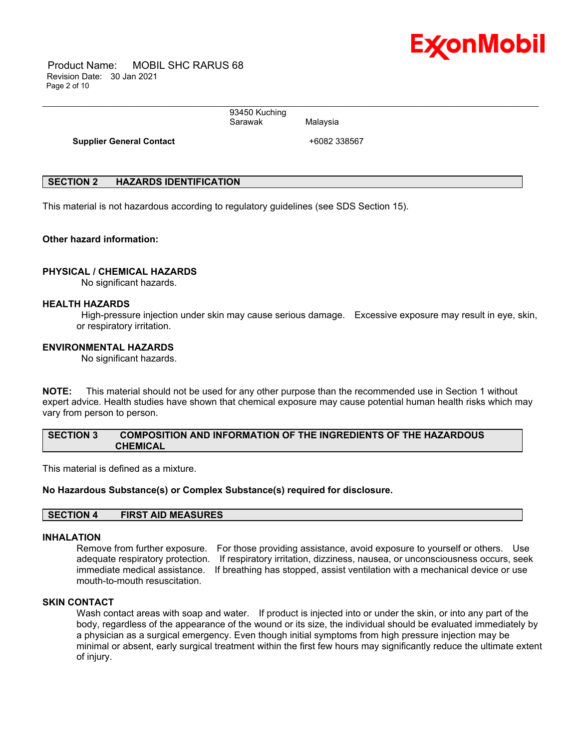

 Product Name: MOBIL SHC RARUS 68 Revision Date: 30 Jan 2021 Page 2 of 10

> 93450 Kuching Sarawak Malaysia

\_\_\_\_\_\_\_\_\_\_\_\_\_\_\_\_\_\_\_\_\_\_\_\_\_\_\_\_\_\_\_\_\_\_\_\_\_\_\_\_\_\_\_\_\_\_\_\_\_\_\_\_\_\_\_\_\_\_\_\_\_\_\_\_\_\_\_\_\_\_\_\_\_\_\_\_\_\_\_\_\_\_\_\_\_\_\_\_\_\_\_\_\_\_\_\_\_\_\_\_\_\_\_\_\_\_\_\_\_\_\_\_\_\_\_\_\_\_

**Supplier General Contact** +6082 338567

# **SECTION 2 HAZARDS IDENTIFICATION**

This material is not hazardous according to regulatory guidelines (see SDS Section 15).

#### **Other hazard information:**

#### **PHYSICAL / CHEMICAL HAZARDS**

No significant hazards.

#### **HEALTH HAZARDS**

 High-pressure injection under skin may cause serious damage. Excessive exposure may result in eye, skin, or respiratory irritation.

# **ENVIRONMENTAL HAZARDS**

No significant hazards.

**NOTE:** This material should not be used for any other purpose than the recommended use in Section 1 without expert advice. Health studies have shown that chemical exposure may cause potential human health risks which may vary from person to person.

# **SECTION 3 COMPOSITION AND INFORMATION OF THE INGREDIENTS OF THE HAZARDOUS CHEMICAL**

This material is defined as a mixture.

#### **No Hazardous Substance(s) or Complex Substance(s) required for disclosure.**

# **SECTION 4 FIRST AID MEASURES**

#### **INHALATION**

Remove from further exposure. For those providing assistance, avoid exposure to yourself or others. Use adequate respiratory protection. If respiratory irritation, dizziness, nausea, or unconsciousness occurs, seek immediate medical assistance. If breathing has stopped, assist ventilation with a mechanical device or use mouth-to-mouth resuscitation.

# **SKIN CONTACT**

Wash contact areas with soap and water. If product is injected into or under the skin, or into any part of the body, regardless of the appearance of the wound or its size, the individual should be evaluated immediately by a physician as a surgical emergency. Even though initial symptoms from high pressure injection may be minimal or absent, early surgical treatment within the first few hours may significantly reduce the ultimate extent of injury.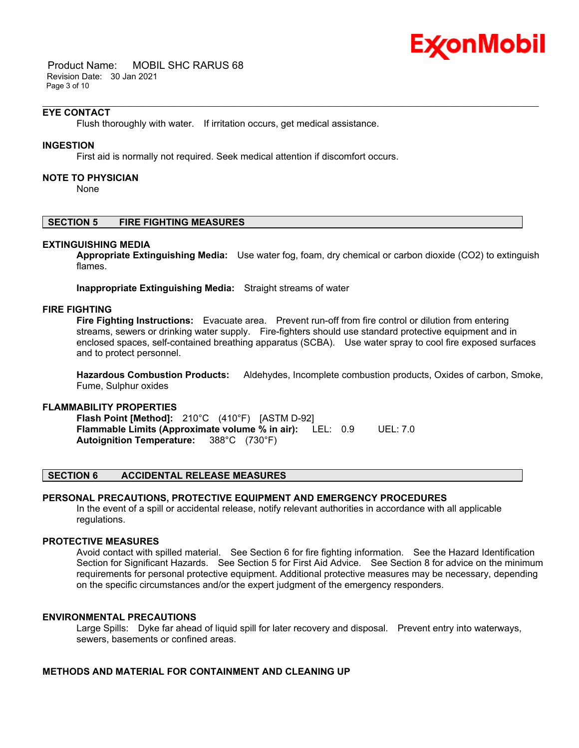

 Product Name: MOBIL SHC RARUS 68 Revision Date: 30 Jan 2021 Page 3 of 10

### **EYE CONTACT**

Flush thoroughly with water. If irritation occurs, get medical assistance.

#### **INGESTION**

First aid is normally not required. Seek medical attention if discomfort occurs.

#### **NOTE TO PHYSICIAN**

None

#### **SECTION 5 FIRE FIGHTING MEASURES**

#### **EXTINGUISHING MEDIA**

**Appropriate Extinguishing Media:** Use water fog, foam, dry chemical or carbon dioxide (CO2) to extinguish flames.

\_\_\_\_\_\_\_\_\_\_\_\_\_\_\_\_\_\_\_\_\_\_\_\_\_\_\_\_\_\_\_\_\_\_\_\_\_\_\_\_\_\_\_\_\_\_\_\_\_\_\_\_\_\_\_\_\_\_\_\_\_\_\_\_\_\_\_\_\_\_\_\_\_\_\_\_\_\_\_\_\_\_\_\_\_\_\_\_\_\_\_\_\_\_\_\_\_\_\_\_\_\_\_\_\_\_\_\_\_\_\_\_\_\_\_\_\_\_

**Inappropriate Extinguishing Media:** Straight streams of water

#### **FIRE FIGHTING**

**Fire Fighting Instructions:** Evacuate area. Prevent run-off from fire control or dilution from entering streams, sewers or drinking water supply. Fire-fighters should use standard protective equipment and in enclosed spaces, self-contained breathing apparatus (SCBA). Use water spray to cool fire exposed surfaces and to protect personnel.

**Hazardous Combustion Products:** Aldehydes, Incomplete combustion products, Oxides of carbon, Smoke, Fume, Sulphur oxides

#### **FLAMMABILITY PROPERTIES**

**Flash Point [Method]:** 210°C (410°F) [ASTM D-92] **Flammable Limits (Approximate volume % in air):** LEL: 0.9 UEL: 7.0 **Autoignition Temperature:** 388°C (730°F)

#### **SECTION 6 ACCIDENTAL RELEASE MEASURES**

#### **PERSONAL PRECAUTIONS, PROTECTIVE EQUIPMENT AND EMERGENCY PROCEDURES**

In the event of a spill or accidental release, notify relevant authorities in accordance with all applicable regulations.

#### **PROTECTIVE MEASURES**

Avoid contact with spilled material. See Section 6 for fire fighting information. See the Hazard Identification Section for Significant Hazards. See Section 5 for First Aid Advice. See Section 8 for advice on the minimum requirements for personal protective equipment. Additional protective measures may be necessary, depending on the specific circumstances and/or the expert judgment of the emergency responders.

# **ENVIRONMENTAL PRECAUTIONS**

Large Spills: Dyke far ahead of liquid spill for later recovery and disposal. Prevent entry into waterways, sewers, basements or confined areas.

# **METHODS AND MATERIAL FOR CONTAINMENT AND CLEANING UP**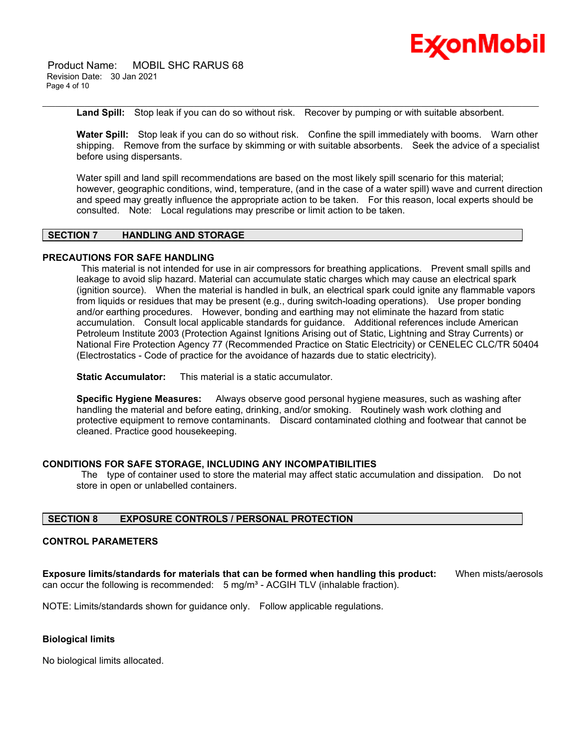



\_\_\_\_\_\_\_\_\_\_\_\_\_\_\_\_\_\_\_\_\_\_\_\_\_\_\_\_\_\_\_\_\_\_\_\_\_\_\_\_\_\_\_\_\_\_\_\_\_\_\_\_\_\_\_\_\_\_\_\_\_\_\_\_\_\_\_\_\_\_\_\_\_\_\_\_\_\_\_\_\_\_\_\_\_\_\_\_\_\_\_\_\_\_\_\_\_\_\_\_\_\_\_\_\_\_\_\_\_\_\_\_\_\_\_\_\_\_ **Land Spill:** Stop leak if you can do so without risk. Recover by pumping or with suitable absorbent.

**Water Spill:** Stop leak if you can do so without risk. Confine the spill immediately with booms. Warn other shipping. Remove from the surface by skimming or with suitable absorbents. Seek the advice of a specialist before using dispersants.

Water spill and land spill recommendations are based on the most likely spill scenario for this material; however, geographic conditions, wind, temperature, (and in the case of a water spill) wave and current direction and speed may greatly influence the appropriate action to be taken. For this reason, local experts should be consulted. Note: Local regulations may prescribe or limit action to be taken.

# **SECTION 7 HANDLING AND STORAGE**

#### **PRECAUTIONS FOR SAFE HANDLING**

 This material is not intended for use in air compressors for breathing applications. Prevent small spills and leakage to avoid slip hazard. Material can accumulate static charges which may cause an electrical spark (ignition source). When the material is handled in bulk, an electrical spark could ignite any flammable vapors from liquids or residues that may be present (e.g., during switch-loading operations). Use proper bonding and/or earthing procedures. However, bonding and earthing may not eliminate the hazard from static accumulation. Consult local applicable standards for guidance. Additional references include American Petroleum Institute 2003 (Protection Against Ignitions Arising out of Static, Lightning and Stray Currents) or National Fire Protection Agency 77 (Recommended Practice on Static Electricity) or CENELEC CLC/TR 50404 (Electrostatics - Code of practice for the avoidance of hazards due to static electricity).

**Static Accumulator:** This material is a static accumulator.

**Specific Hygiene Measures:** Always observe good personal hygiene measures, such as washing after handling the material and before eating, drinking, and/or smoking. Routinely wash work clothing and protective equipment to remove contaminants. Discard contaminated clothing and footwear that cannot be cleaned. Practice good housekeeping.

# **CONDITIONS FOR SAFE STORAGE, INCLUDING ANY INCOMPATIBILITIES**

 The type of container used to store the material may affect static accumulation and dissipation. Do not store in open or unlabelled containers.

# **SECTION 8 EXPOSURE CONTROLS / PERSONAL PROTECTION**

#### **CONTROL PARAMETERS**

**Exposure limits/standards for materials that can be formed when handling this product:** When mists/aerosols can occur the following is recommended:  $5 \text{ mg/m}^3$  - ACGIH TLV (inhalable fraction).

NOTE: Limits/standards shown for guidance only. Follow applicable regulations.

# **Biological limits**

No biological limits allocated.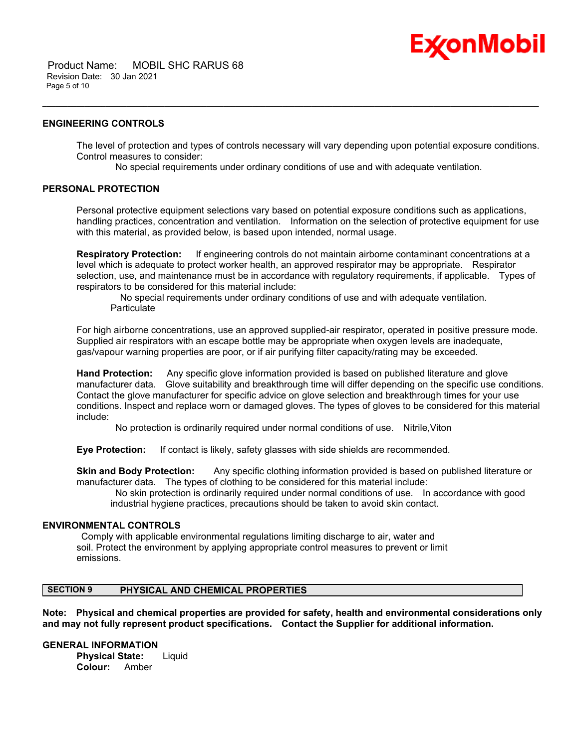

 Product Name: MOBIL SHC RARUS 68 Revision Date: 30 Jan 2021 Page 5 of 10

#### **ENGINEERING CONTROLS**

The level of protection and types of controls necessary will vary depending upon potential exposure conditions. Control measures to consider:

No special requirements under ordinary conditions of use and with adequate ventilation.

\_\_\_\_\_\_\_\_\_\_\_\_\_\_\_\_\_\_\_\_\_\_\_\_\_\_\_\_\_\_\_\_\_\_\_\_\_\_\_\_\_\_\_\_\_\_\_\_\_\_\_\_\_\_\_\_\_\_\_\_\_\_\_\_\_\_\_\_\_\_\_\_\_\_\_\_\_\_\_\_\_\_\_\_\_\_\_\_\_\_\_\_\_\_\_\_\_\_\_\_\_\_\_\_\_\_\_\_\_\_\_\_\_\_\_\_\_\_

# **PERSONAL PROTECTION**

Personal protective equipment selections vary based on potential exposure conditions such as applications, handling practices, concentration and ventilation. Information on the selection of protective equipment for use with this material, as provided below, is based upon intended, normal usage.

**Respiratory Protection:** If engineering controls do not maintain airborne contaminant concentrations at a level which is adequate to protect worker health, an approved respirator may be appropriate. Respirator selection, use, and maintenance must be in accordance with regulatory requirements, if applicable. Types of respirators to be considered for this material include:

 No special requirements under ordinary conditions of use and with adequate ventilation. **Particulate** 

For high airborne concentrations, use an approved supplied-air respirator, operated in positive pressure mode. Supplied air respirators with an escape bottle may be appropriate when oxygen levels are inadequate, gas/vapour warning properties are poor, or if air purifying filter capacity/rating may be exceeded.

**Hand Protection:** Any specific glove information provided is based on published literature and glove manufacturer data. Glove suitability and breakthrough time will differ depending on the specific use conditions. Contact the glove manufacturer for specific advice on glove selection and breakthrough times for your use conditions. Inspect and replace worn or damaged gloves. The types of gloves to be considered for this material include:

No protection is ordinarily required under normal conditions of use. Nitrile,Viton

**Eye Protection:** If contact is likely, safety glasses with side shields are recommended.

**Skin and Body Protection:** Any specific clothing information provided is based on published literature or manufacturer data. The types of clothing to be considered for this material include:

 No skin protection is ordinarily required under normal conditions of use. In accordance with good industrial hygiene practices, precautions should be taken to avoid skin contact.

# **ENVIRONMENTAL CONTROLS**

 Comply with applicable environmental regulations limiting discharge to air, water and soil. Protect the environment by applying appropriate control measures to prevent or limit emissions.

# **SECTION 9 PHYSICAL AND CHEMICAL PROPERTIES**

**Note: Physical and chemical properties are provided for safety, health and environmental considerations only and may not fully represent product specifications. Contact the Supplier for additional information.**

**GENERAL INFORMATION**

**Physical State:** Liquid **Colour:** Amber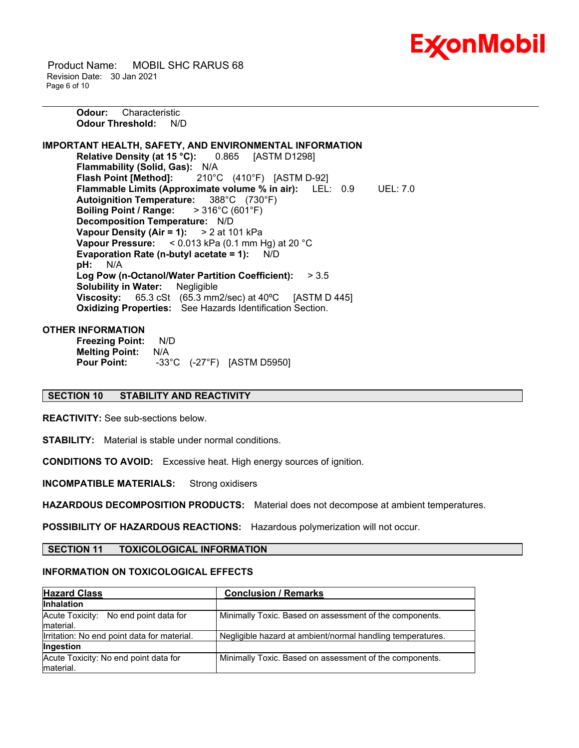

 Product Name: MOBIL SHC RARUS 68 Revision Date: 30 Jan 2021 Page 6 of 10

> **Odour:** Characteristic **Odour Threshold:** N/D

**IMPORTANT HEALTH, SAFETY, AND ENVIRONMENTAL INFORMATION Relative Density (at 15 °C):** 0.865 [ASTM D1298] **Flammability (Solid, Gas):** N/A **Flash Point [Method]:** 210°C (410°F) [ASTM D-92] **Flammable Limits (Approximate volume % in air):** LEL: 0.9 UEL: 7.0 **Autoignition Temperature:** 388°C (730°F) **Boiling Point / Range:** > 316°C (601°F) **Decomposition Temperature:** N/D **Vapour Density (Air = 1):** > 2 at 101 kPa **Vapour Pressure:** < 0.013 kPa (0.1 mm Hg) at 20 °C **Evaporation Rate (n-butyl acetate = 1):** N/D **pH:** N/A **Log Pow (n-Octanol/Water Partition Coefficient):** > 3.5 **Solubility in Water:** Negligible **Viscosity:** 65.3 cSt (65.3 mm2/sec) at 40<sup>o</sup>C [ASTM D 445] **Oxidizing Properties:** See Hazards Identification Section.

\_\_\_\_\_\_\_\_\_\_\_\_\_\_\_\_\_\_\_\_\_\_\_\_\_\_\_\_\_\_\_\_\_\_\_\_\_\_\_\_\_\_\_\_\_\_\_\_\_\_\_\_\_\_\_\_\_\_\_\_\_\_\_\_\_\_\_\_\_\_\_\_\_\_\_\_\_\_\_\_\_\_\_\_\_\_\_\_\_\_\_\_\_\_\_\_\_\_\_\_\_\_\_\_\_\_\_\_\_\_\_\_\_\_\_\_\_\_

# **OTHER INFORMATION**

**Freezing Point:** N/D **Melting Point:** N/A **Pour Point:** -33°C (-27°F) [ASTM D5950]

# **SECTION 10 STABILITY AND REACTIVITY**

**REACTIVITY:** See sub-sections below.

**STABILITY:** Material is stable under normal conditions.

**CONDITIONS TO AVOID:** Excessive heat. High energy sources of ignition.

**INCOMPATIBLE MATERIALS:** Strong oxidisers

**HAZARDOUS DECOMPOSITION PRODUCTS:** Material does not decompose at ambient temperatures.

**POSSIBILITY OF HAZARDOUS REACTIONS:** Hazardous polymerization will not occur.

**SECTION 11 TOXICOLOGICAL INFORMATION**

### **INFORMATION ON TOXICOLOGICAL EFFECTS**

| <b>Hazard Class</b>                                 | <b>Conclusion / Remarks</b>                                |  |
|-----------------------------------------------------|------------------------------------------------------------|--|
| <b>Inhalation</b>                                   |                                                            |  |
| Acute Toxicity: No end point data for<br>Imaterial. | Minimally Toxic. Based on assessment of the components.    |  |
| Irritation: No end point data for material.         | Negligible hazard at ambient/normal handling temperatures. |  |
| Ingestion                                           |                                                            |  |
| Acute Toxicity: No end point data for<br>material.  | Minimally Toxic. Based on assessment of the components.    |  |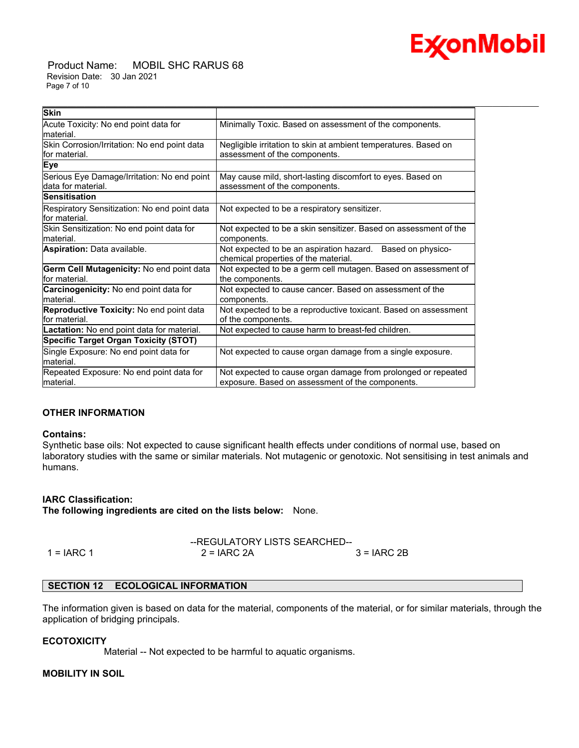# ExconMobil

 Product Name: MOBIL SHC RARUS 68 Revision Date: 30 Jan 2021 Page 7 of 10

| <b>Skin</b>                                                        |                                                                                                                   |
|--------------------------------------------------------------------|-------------------------------------------------------------------------------------------------------------------|
| Acute Toxicity: No end point data for<br>lmaterial.                | Minimally Toxic. Based on assessment of the components.                                                           |
| Skin Corrosion/Irritation: No end point data<br>lfor material.     | Negligible irritation to skin at ambient temperatures. Based on<br>assessment of the components.                  |
| <b>Eye</b>                                                         |                                                                                                                   |
| Serious Eye Damage/Irritation: No end point<br>ldata for material. | May cause mild, short-lasting discomfort to eyes. Based on<br>assessment of the components.                       |
| <b>Sensitisation</b>                                               |                                                                                                                   |
| Respiratory Sensitization: No end point data<br>for material.      | Not expected to be a respiratory sensitizer.                                                                      |
| Skin Sensitization: No end point data for<br>lmaterial.            | Not expected to be a skin sensitizer. Based on assessment of the<br>components.                                   |
| Aspiration: Data available.                                        | Not expected to be an aspiration hazard. Based on physico-<br>chemical properties of the material.                |
| Germ Cell Mutagenicity: No end point data<br>for material.         | Not expected to be a germ cell mutagen. Based on assessment of<br>the components.                                 |
| Carcinogenicity: No end point data for<br>lmaterial.               | Not expected to cause cancer. Based on assessment of the<br>components.                                           |
| <b>Reproductive Toxicity:</b> No end point data<br>for material.   | Not expected to be a reproductive toxicant. Based on assessment<br>of the components.                             |
| Lactation: No end point data for material.                         | Not expected to cause harm to breast-fed children.                                                                |
| <b>Specific Target Organ Toxicity (STOT)</b>                       |                                                                                                                   |
| Single Exposure: No end point data for<br>lmaterial.               | Not expected to cause organ damage from a single exposure.                                                        |
| Repeated Exposure: No end point data for<br>material.              | Not expected to cause organ damage from prolonged or repeated<br>exposure. Based on assessment of the components. |

# **OTHER INFORMATION**

#### **Contains:**

Synthetic base oils: Not expected to cause significant health effects under conditions of normal use, based on laboratory studies with the same or similar materials. Not mutagenic or genotoxic. Not sensitising in test animals and humans.

# **IARC Classification:**

**The following ingredients are cited on the lists below:** None.

|              | --REGULATORY LISTS SEARCHED-- |               |  |
|--------------|-------------------------------|---------------|--|
| 1 = $IARC 1$ | $2 = IARC 2A$                 | $3 = IARC 2B$ |  |

# **SECTION 12 ECOLOGICAL INFORMATION**

The information given is based on data for the material, components of the material, or for similar materials, through the application of bridging principals.

# **ECOTOXICITY**

Material -- Not expected to be harmful to aquatic organisms.

# **MOBILITY IN SOIL**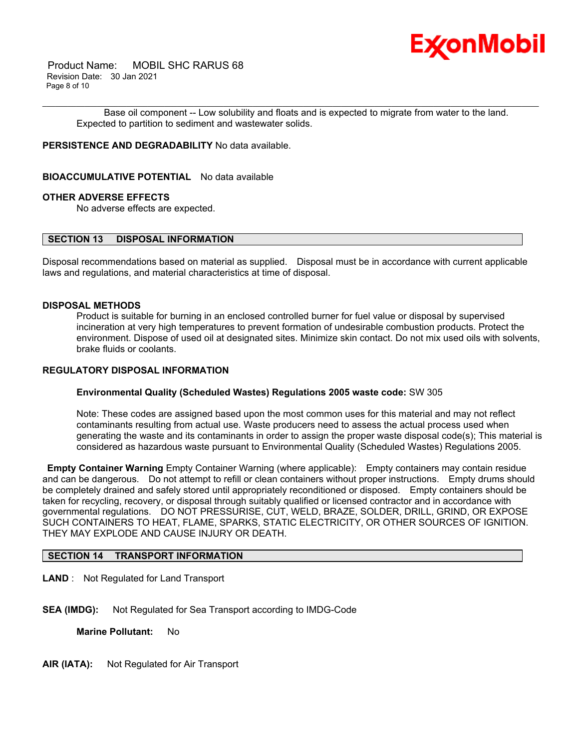

 Product Name: MOBIL SHC RARUS 68 Revision Date: 30 Jan 2021 Page 8 of 10

\_\_\_\_\_\_\_\_\_\_\_\_\_\_\_\_\_\_\_\_\_\_\_\_\_\_\_\_\_\_\_\_\_\_\_\_\_\_\_\_\_\_\_\_\_\_\_\_\_\_\_\_\_\_\_\_\_\_\_\_\_\_\_\_\_\_\_\_\_\_\_\_\_\_\_\_\_\_\_\_\_\_\_\_\_\_\_\_\_\_\_\_\_\_\_\_\_\_\_\_\_\_\_\_\_\_\_\_\_\_\_\_\_\_\_\_\_\_ Base oil component -- Low solubility and floats and is expected to migrate from water to the land. Expected to partition to sediment and wastewater solids.

**PERSISTENCE AND DEGRADABILITY** No data available.

**BIOACCUMULATIVE POTENTIAL** No data available

#### **OTHER ADVERSE EFFECTS**

No adverse effects are expected.

# **SECTION 13 DISPOSAL INFORMATION**

Disposal recommendations based on material as supplied. Disposal must be in accordance with current applicable laws and regulations, and material characteristics at time of disposal.

#### **DISPOSAL METHODS**

Product is suitable for burning in an enclosed controlled burner for fuel value or disposal by supervised incineration at very high temperatures to prevent formation of undesirable combustion products. Protect the environment. Dispose of used oil at designated sites. Minimize skin contact. Do not mix used oils with solvents, brake fluids or coolants.

# **REGULATORY DISPOSAL INFORMATION**

#### **Environmental Quality (Scheduled Wastes) Regulations 2005 waste code:** SW 305

Note: These codes are assigned based upon the most common uses for this material and may not reflect contaminants resulting from actual use. Waste producers need to assess the actual process used when generating the waste and its contaminants in order to assign the proper waste disposal code(s); This material is considered as hazardous waste pursuant to Environmental Quality (Scheduled Wastes) Regulations 2005.

**Empty Container Warning** Empty Container Warning (where applicable): Empty containers may contain residue and can be dangerous. Do not attempt to refill or clean containers without proper instructions. Empty drums should be completely drained and safely stored until appropriately reconditioned or disposed. Empty containers should be taken for recycling, recovery, or disposal through suitably qualified or licensed contractor and in accordance with governmental regulations. DO NOT PRESSURISE, CUT, WELD, BRAZE, SOLDER, DRILL, GRIND, OR EXPOSE SUCH CONTAINERS TO HEAT, FLAME, SPARKS, STATIC ELECTRICITY, OR OTHER SOURCES OF IGNITION. THEY MAY EXPLODE AND CAUSE INJURY OR DEATH.

# **SECTION 14 TRANSPORT INFORMATION**

**LAND** : Not Regulated for Land Transport

**SEA (IMDG):** Not Regulated for Sea Transport according to IMDG-Code

**Marine Pollutant:** No

**AIR (IATA):** Not Regulated for Air Transport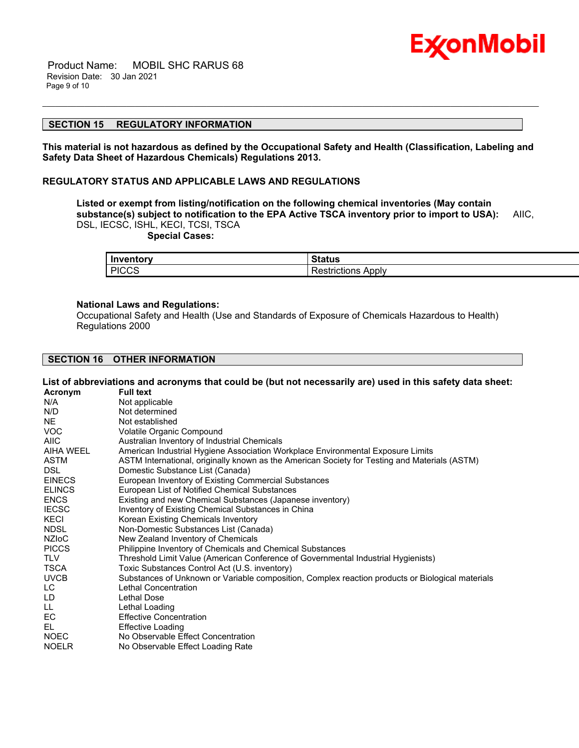

 Product Name: MOBIL SHC RARUS 68 Revision Date: 30 Jan 2021 Page 9 of 10

#### **SECTION 15 REGULATORY INFORMATION**

**This material is not hazardous as defined by the Occupational Safety and Health (Classification, Labeling and Safety Data Sheet of Hazardous Chemicals) Regulations 2013.**

\_\_\_\_\_\_\_\_\_\_\_\_\_\_\_\_\_\_\_\_\_\_\_\_\_\_\_\_\_\_\_\_\_\_\_\_\_\_\_\_\_\_\_\_\_\_\_\_\_\_\_\_\_\_\_\_\_\_\_\_\_\_\_\_\_\_\_\_\_\_\_\_\_\_\_\_\_\_\_\_\_\_\_\_\_\_\_\_\_\_\_\_\_\_\_\_\_\_\_\_\_\_\_\_\_\_\_\_\_\_\_\_\_\_\_\_\_\_

# **REGULATORY STATUS AND APPLICABLE LAWS AND REGULATIONS**

**Listed or exempt from listing/notification on the following chemical inventories (May contain substance(s) subject to notification to the EPA Active TSCA inventory prior to import to USA):** AIIC, DSL, IECSC, ISHL, KECI, TCSI, TSCA

 **Special Cases:**

| Inventory              | <b>Status</b>                           |
|------------------------|-----------------------------------------|
| <b>PICCS</b><br>$\sim$ | <b>ADDI</b><br><b>Strictions</b><br>- 1 |

#### **National Laws and Regulations:**

Occupational Safety and Health (Use and Standards of Exposure of Chemicals Hazardous to Health) Regulations 2000

# **SECTION 16 OTHER INFORMATION**

#### **List of abbreviations and acronyms that could be (but not necessarily are) used in this safety data sheet: Acronym Full text** N/A Not applicable N/D Not determined NE Not established VOC Volatile Organic Compound AIIC Australian Inventory of Industrial Chemicals AIHA WEEL American Industrial Hygiene Association Workplace Environmental Exposure Limits ASTM ASTM International, originally known as the American Society for Testing and Materials (ASTM) DSL Domestic Substance List (Canada) EINECS European Inventory of Existing Commercial Substances ELINCS European List of Notified Chemical Substances<br>
ENCS ENCS Existing and new Chemical Substances (Japane ENCS Existing and new Chemical Substances (Japanese inventory)<br>IECSC **Existing Chemical Substances in China** Inventory of Existing Chemical Substances in China KECI Korean Existing Chemicals Inventory NDSL Non-Domestic Substances List (Canada) NZIoC New Zealand Inventory of Chemicals PICCS Philippine Inventory of Chemicals and Chemical Substances TLV Threshold Limit Value (American Conference of Governmental Industrial Hygienists) TSCA Toxic Substances Control Act (U.S. inventory) UVCB Substances of Unknown or Variable composition, Complex reaction products or Biological materials LC Lethal Concentration LD Lethal Dose LL Lethal Loading EC Effective Concentration EL Effective Loading NOEC No Observable Effect Concentration NOELR No Observable Effect Loading Rate